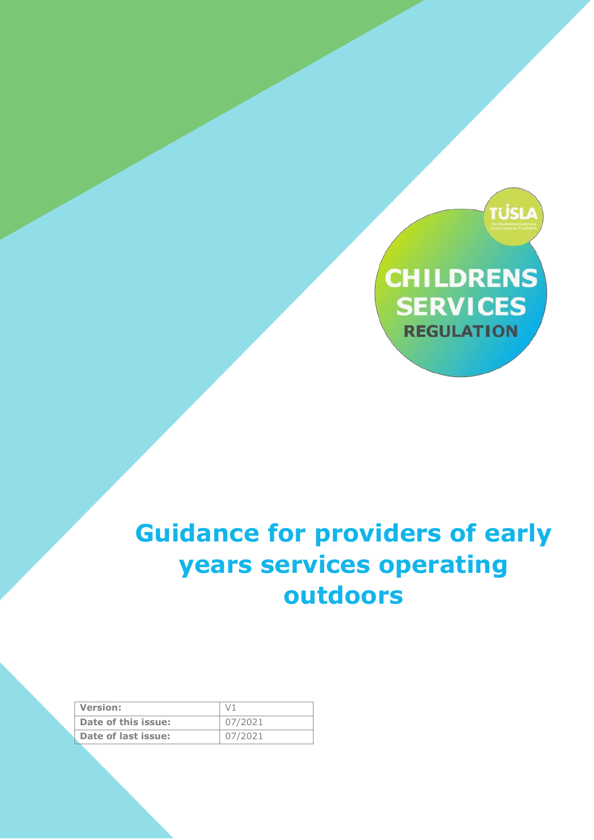

# **Guidance for providers of early years services operating outdoors**

| <b>Version:</b>     |         |
|---------------------|---------|
| Date of this issue: | 07/2021 |
| Date of last issue: | 07/2021 |

EYI – Documentation for OECD July 2021 Page **1** of **8**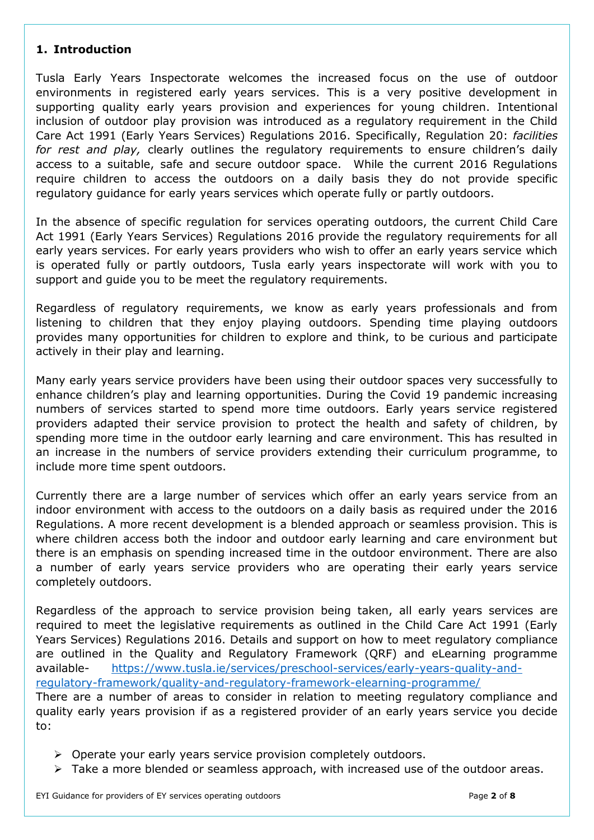#### **1. Introduction**

Tusla Early Years Inspectorate welcomes the increased focus on the use of outdoor environments in registered early years services. This is a very positive development in supporting quality early years provision and experiences for young children. Intentional inclusion of outdoor play provision was introduced as a regulatory requirement in the Child Care Act 1991 (Early Years Services) Regulations 2016. Specifically, Regulation 20: *facilities for rest and play,* clearly outlines the regulatory requirements to ensure children's daily access to a suitable, safe and secure outdoor space. While the current 2016 Regulations require children to access the outdoors on a daily basis they do not provide specific regulatory guidance for early years services which operate fully or partly outdoors.

In the absence of specific regulation for services operating outdoors, the current Child Care Act 1991 (Early Years Services) Regulations 2016 provide the regulatory requirements for all early years services. For early years providers who wish to offer an early years service which is operated fully or partly outdoors, Tusla early years inspectorate will work with you to support and guide you to be meet the regulatory requirements.

Regardless of regulatory requirements, we know as early years professionals and from listening to children that they enjoy playing outdoors. Spending time playing outdoors provides many opportunities for children to explore and think, to be curious and participate actively in their play and learning.

Many early years service providers have been using their outdoor spaces very successfully to enhance children's play and learning opportunities. During the Covid 19 pandemic increasing numbers of services started to spend more time outdoors. Early years service registered providers adapted their service provision to protect the health and safety of children, by spending more time in the outdoor early learning and care environment. This has resulted in an increase in the numbers of service providers extending their curriculum programme, to include more time spent outdoors.

Currently there are a large number of services which offer an early years service from an indoor environment with access to the outdoors on a daily basis as required under the 2016 Regulations. A more recent development is a blended approach or seamless provision. This is where children access both the indoor and outdoor early learning and care environment but there is an emphasis on spending increased time in the outdoor environment. There are also a number of early years service providers who are operating their early years service completely outdoors.

Regardless of the approach to service provision being taken, all early years services are required to meet the legislative requirements as outlined in the Child Care Act 1991 (Early Years Services) Regulations 2016. Details and support on how to meet regulatory compliance are outlined in the Quality and Regulatory Framework (QRF) and eLearning programme available- [https://www.tusla.ie/services/preschool-services/early-years-quality-and-](https://www.tusla.ie/services/preschool-services/early-years-quality-and-regulatory-framework/quality-and-regulatory-framework-elearning-programme/)

[regulatory-framework/quality-and-regulatory-framework-elearning-programme/](https://www.tusla.ie/services/preschool-services/early-years-quality-and-regulatory-framework/quality-and-regulatory-framework-elearning-programme/)

There are a number of areas to consider in relation to meeting regulatory compliance and quality early years provision if as a registered provider of an early years service you decide to:

- $\triangleright$  Operate your early years service provision completely outdoors.
- $\triangleright$  Take a more blended or seamless approach, with increased use of the outdoor areas.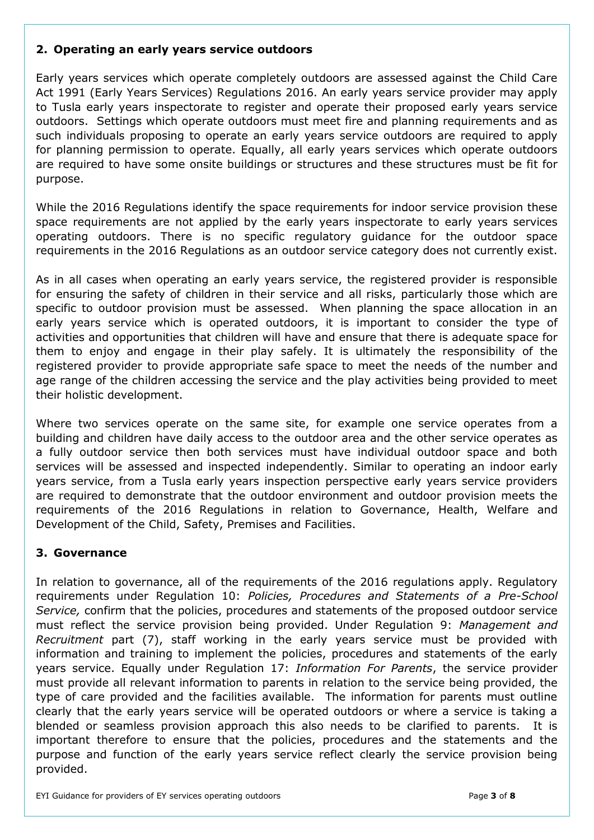#### **2. Operating an early years service outdoors**

Early years services which operate completely outdoors are assessed against the Child Care Act 1991 (Early Years Services) Regulations 2016. An early years service provider may apply to Tusla early years inspectorate to register and operate their proposed early years service outdoors. Settings which operate outdoors must meet fire and planning requirements and as such individuals proposing to operate an early years service outdoors are required to apply for planning permission to operate. Equally, all early years services which operate outdoors are required to have some onsite buildings or structures and these structures must be fit for purpose.

While the 2016 Regulations identify the space requirements for indoor service provision these space requirements are not applied by the early years inspectorate to early years services operating outdoors. There is no specific regulatory guidance for the outdoor space requirements in the 2016 Regulations as an outdoor service category does not currently exist.

As in all cases when operating an early years service, the registered provider is responsible for ensuring the safety of children in their service and all risks, particularly those which are specific to outdoor provision must be assessed. When planning the space allocation in an early years service which is operated outdoors, it is important to consider the type of activities and opportunities that children will have and ensure that there is adequate space for them to enjoy and engage in their play safely. It is ultimately the responsibility of the registered provider to provide appropriate safe space to meet the needs of the number and age range of the children accessing the service and the play activities being provided to meet their holistic development.

Where two services operate on the same site, for example one service operates from a building and children have daily access to the outdoor area and the other service operates as a fully outdoor service then both services must have individual outdoor space and both services will be assessed and inspected independently. Similar to operating an indoor early years service, from a Tusla early years inspection perspective early years service providers are required to demonstrate that the outdoor environment and outdoor provision meets the requirements of the 2016 Regulations in relation to Governance, Health, Welfare and Development of the Child, Safety, Premises and Facilities.

#### **3. Governance**

In relation to governance, all of the requirements of the 2016 regulations apply. Regulatory requirements under Regulation 10: *Policies, Procedures and Statements of a Pre-School Service,* confirm that the policies, procedures and statements of the proposed outdoor service must reflect the service provision being provided. Under Regulation 9: *Management and Recruitment* part (7), staff working in the early years service must be provided with information and training to implement the policies, procedures and statements of the early years service. Equally under Regulation 17: *Information For Parents*, the service provider must provide all relevant information to parents in relation to the service being provided, the type of care provided and the facilities available. The information for parents must outline clearly that the early years service will be operated outdoors or where a service is taking a blended or seamless provision approach this also needs to be clarified to parents. It is important therefore to ensure that the policies, procedures and the statements and the purpose and function of the early years service reflect clearly the service provision being provided.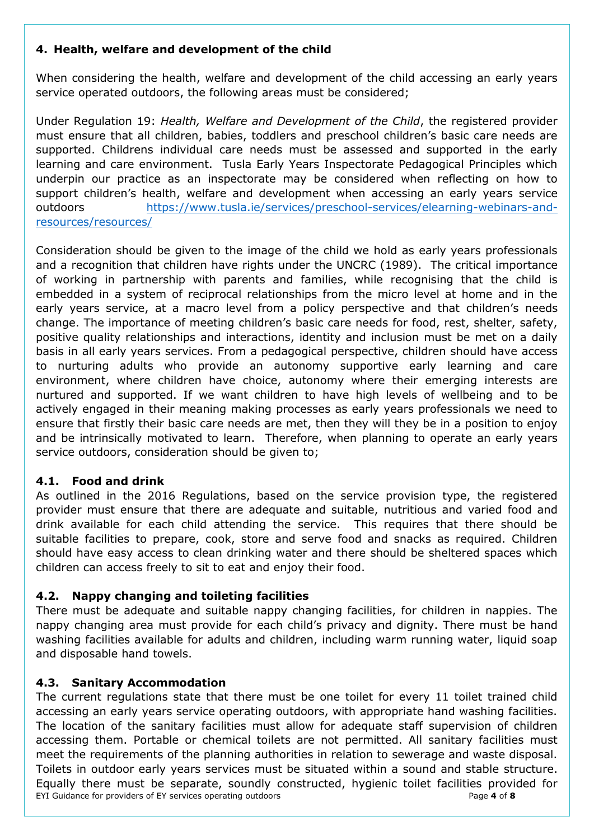## **4. Health, welfare and development of the child**

When considering the health, welfare and development of the child accessing an early years service operated outdoors, the following areas must be considered;

Under Regulation 19: *Health, Welfare and Development of the Child*, the registered provider must ensure that all children, babies, toddlers and preschool children's basic care needs are supported. Childrens individual care needs must be assessed and supported in the early learning and care environment. Tusla Early Years Inspectorate Pedagogical Principles which underpin our practice as an inspectorate may be considered when reflecting on how to support children's health, welfare and development when accessing an early years service outdoors [https://www.tusla.ie/services/preschool-services/elearning-webinars-and](https://www.tusla.ie/services/preschool-services/elearning-webinars-and-resources/resources/)[resources/resources/](https://www.tusla.ie/services/preschool-services/elearning-webinars-and-resources/resources/)

Consideration should be given to the image of the child we hold as early years professionals and a recognition that children have rights under the UNCRC (1989). The critical importance of working in partnership with parents and families, while recognising that the child is embedded in a system of reciprocal relationships from the micro level at home and in the early years service, at a macro level from a policy perspective and that children's needs change. The importance of meeting children's basic care needs for food, rest, shelter, safety, positive quality relationships and interactions, identity and inclusion must be met on a daily basis in all early years services. From a pedagogical perspective, children should have access to nurturing adults who provide an autonomy supportive early learning and care environment, where children have choice, autonomy where their emerging interests are nurtured and supported. If we want children to have high levels of wellbeing and to be actively engaged in their meaning making processes as early years professionals we need to ensure that firstly their basic care needs are met, then they will they be in a position to enjoy and be intrinsically motivated to learn. Therefore, when planning to operate an early years service outdoors, consideration should be given to;

#### **4.1. Food and drink**

As outlined in the 2016 Regulations, based on the service provision type, the registered provider must ensure that there are adequate and suitable, nutritious and varied food and drink available for each child attending the service. This requires that there should be suitable facilities to prepare, cook, store and serve food and snacks as required. Children should have easy access to clean drinking water and there should be sheltered spaces which children can access freely to sit to eat and enjoy their food.

# **4.2. Nappy changing and toileting facilities**

There must be adequate and suitable nappy changing facilities, for children in nappies. The nappy changing area must provide for each child's privacy and dignity. There must be hand washing facilities available for adults and children, including warm running water, liquid soap and disposable hand towels.

#### **4.3. Sanitary Accommodation**

EYI Guidance for providers of EY services operating outdoors Page **4** of **8** The current regulations state that there must be one toilet for every 11 toilet trained child accessing an early years service operating outdoors, with appropriate hand washing facilities. The location of the sanitary facilities must allow for adequate staff supervision of children accessing them. Portable or chemical toilets are not permitted. All sanitary facilities must meet the requirements of the planning authorities in relation to sewerage and waste disposal. Toilets in outdoor early years services must be situated within a sound and stable structure. Equally there must be separate, soundly constructed, hygienic toilet facilities provided for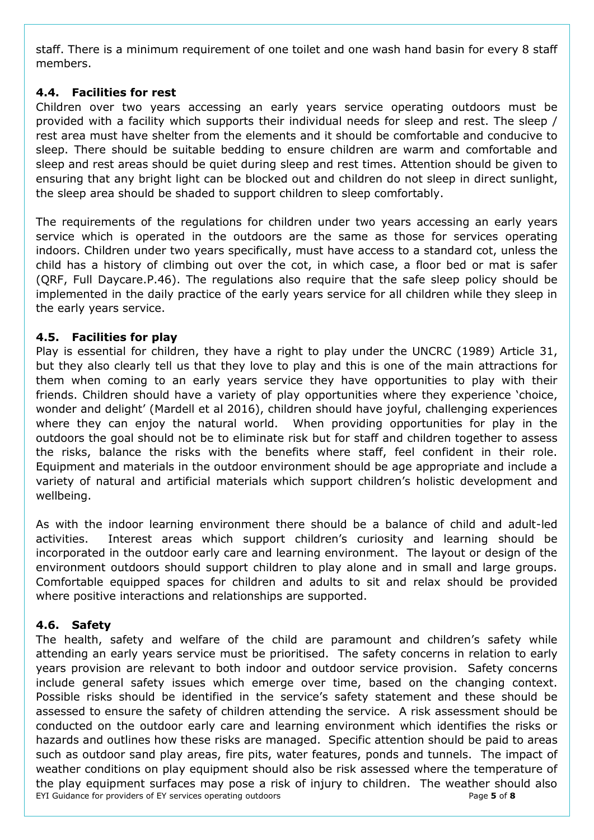staff. There is a minimum requirement of one toilet and one wash hand basin for every 8 staff members.

#### **4.4. Facilities for rest**

Children over two years accessing an early years service operating outdoors must be provided with a facility which supports their individual needs for sleep and rest. The sleep / rest area must have shelter from the elements and it should be comfortable and conducive to sleep. There should be suitable bedding to ensure children are warm and comfortable and sleep and rest areas should be quiet during sleep and rest times. Attention should be given to ensuring that any bright light can be blocked out and children do not sleep in direct sunlight, the sleep area should be shaded to support children to sleep comfortably.

The requirements of the regulations for children under two years accessing an early years service which is operated in the outdoors are the same as those for services operating indoors. Children under two years specifically, must have access to a standard cot, unless the child has a history of climbing out over the cot, in which case, a floor bed or mat is safer (QRF, Full Daycare.P.46). The regulations also require that the safe sleep policy should be implemented in the daily practice of the early years service for all children while they sleep in the early years service.

### **4.5. Facilities for play**

Play is essential for children, they have a right to play under the UNCRC (1989) Article 31, but they also clearly tell us that they love to play and this is one of the main attractions for them when coming to an early years service they have opportunities to play with their friends. Children should have a variety of play opportunities where they experience 'choice, wonder and delight' (Mardell et al 2016), children should have joyful, challenging experiences where they can enjoy the natural world. When providing opportunities for play in the outdoors the goal should not be to eliminate risk but for staff and children together to assess the risks, balance the risks with the benefits where staff, feel confident in their role. Equipment and materials in the outdoor environment should be age appropriate and include a variety of natural and artificial materials which support children's holistic development and wellbeing.

As with the indoor learning environment there should be a balance of child and adult-led activities. Interest areas which support children's curiosity and learning should be incorporated in the outdoor early care and learning environment. The layout or design of the environment outdoors should support children to play alone and in small and large groups. Comfortable equipped spaces for children and adults to sit and relax should be provided where positive interactions and relationships are supported.

#### **4.6. Safety**

EYI Guidance for providers of EY services operating outdoors Page **5** of **8** The health, safety and welfare of the child are paramount and children's safety while attending an early years service must be prioritised. The safety concerns in relation to early years provision are relevant to both indoor and outdoor service provision. Safety concerns include general safety issues which emerge over time, based on the changing context. Possible risks should be identified in the service's safety statement and these should be assessed to ensure the safety of children attending the service. A risk assessment should be conducted on the outdoor early care and learning environment which identifies the risks or hazards and outlines how these risks are managed. Specific attention should be paid to areas such as outdoor sand play areas, fire pits, water features, ponds and tunnels. The impact of weather conditions on play equipment should also be risk assessed where the temperature of the play equipment surfaces may pose a risk of injury to children. The weather should also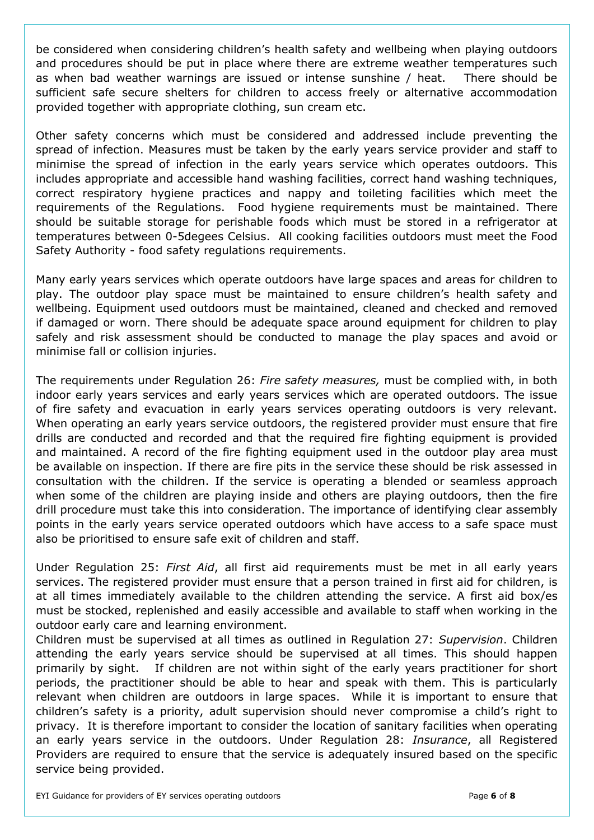be considered when considering children's health safety and wellbeing when playing outdoors and procedures should be put in place where there are extreme weather temperatures such as when bad weather warnings are issued or intense sunshine / heat. There should be sufficient safe secure shelters for children to access freely or alternative accommodation provided together with appropriate clothing, sun cream etc.

Other safety concerns which must be considered and addressed include preventing the spread of infection. Measures must be taken by the early years service provider and staff to minimise the spread of infection in the early years service which operates outdoors. This includes appropriate and accessible hand washing facilities, correct hand washing techniques, correct respiratory hygiene practices and nappy and toileting facilities which meet the requirements of the Regulations. Food hygiene requirements must be maintained. There should be suitable storage for perishable foods which must be stored in a refrigerator at temperatures between 0-5degees Celsius. All cooking facilities outdoors must meet the Food Safety Authority - food safety regulations requirements.

Many early years services which operate outdoors have large spaces and areas for children to play. The outdoor play space must be maintained to ensure children's health safety and wellbeing. Equipment used outdoors must be maintained, cleaned and checked and removed if damaged or worn. There should be adequate space around equipment for children to play safely and risk assessment should be conducted to manage the play spaces and avoid or minimise fall or collision injuries.

The requirements under Regulation 26: *Fire safety measures,* must be complied with, in both indoor early years services and early years services which are operated outdoors. The issue of fire safety and evacuation in early years services operating outdoors is very relevant. When operating an early years service outdoors, the registered provider must ensure that fire drills are conducted and recorded and that the required fire fighting equipment is provided and maintained. A record of the fire fighting equipment used in the outdoor play area must be available on inspection. If there are fire pits in the service these should be risk assessed in consultation with the children. If the service is operating a blended or seamless approach when some of the children are playing inside and others are playing outdoors, then the fire drill procedure must take this into consideration. The importance of identifying clear assembly points in the early years service operated outdoors which have access to a safe space must also be prioritised to ensure safe exit of children and staff.

Under Regulation 25: *First Aid*, all first aid requirements must be met in all early years services. The registered provider must ensure that a person trained in first aid for children, is at all times immediately available to the children attending the service. A first aid box/es must be stocked, replenished and easily accessible and available to staff when working in the outdoor early care and learning environment.

Children must be supervised at all times as outlined in Regulation 27: *Supervision*. Children attending the early years service should be supervised at all times. This should happen primarily by sight. If children are not within sight of the early years practitioner for short periods, the practitioner should be able to hear and speak with them. This is particularly relevant when children are outdoors in large spaces. While it is important to ensure that children's safety is a priority, adult supervision should never compromise a child's right to privacy. It is therefore important to consider the location of sanitary facilities when operating an early years service in the outdoors. Under Regulation 28: *Insurance*, all Registered Providers are required to ensure that the service is adequately insured based on the specific service being provided.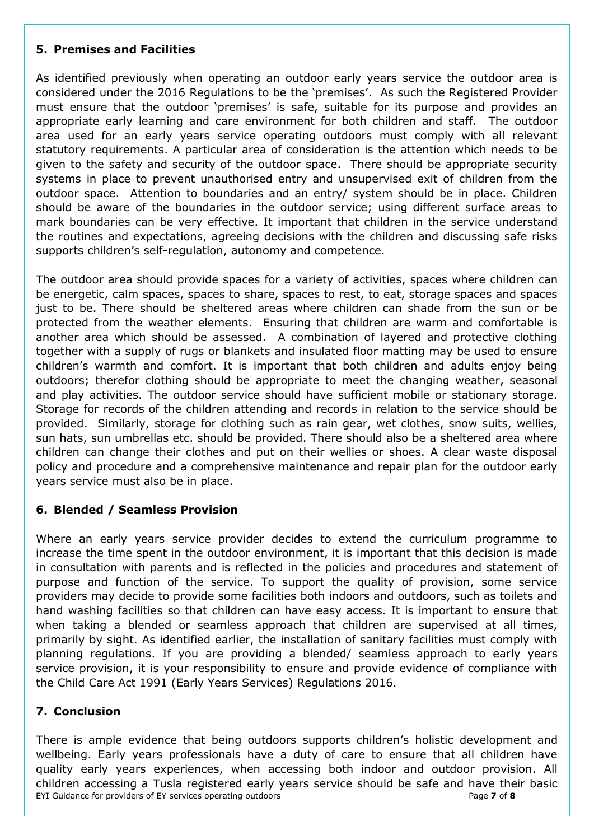#### **5. Premises and Facilities**

As identified previously when operating an outdoor early years service the outdoor area is considered under the 2016 Regulations to be the 'premises'. As such the Registered Provider must ensure that the outdoor 'premises' is safe, suitable for its purpose and provides an appropriate early learning and care environment for both children and staff. The outdoor area used for an early years service operating outdoors must comply with all relevant statutory requirements. A particular area of consideration is the attention which needs to be given to the safety and security of the outdoor space. There should be appropriate security systems in place to prevent unauthorised entry and unsupervised exit of children from the outdoor space. Attention to boundaries and an entry/ system should be in place. Children should be aware of the boundaries in the outdoor service; using different surface areas to mark boundaries can be very effective. It important that children in the service understand the routines and expectations, agreeing decisions with the children and discussing safe risks supports children's self-regulation, autonomy and competence.

The outdoor area should provide spaces for a variety of activities, spaces where children can be energetic, calm spaces, spaces to share, spaces to rest, to eat, storage spaces and spaces just to be. There should be sheltered areas where children can shade from the sun or be protected from the weather elements. Ensuring that children are warm and comfortable is another area which should be assessed. A combination of layered and protective clothing together with a supply of rugs or blankets and insulated floor matting may be used to ensure children's warmth and comfort. It is important that both children and adults enjoy being outdoors; therefor clothing should be appropriate to meet the changing weather, seasonal and play activities. The outdoor service should have sufficient mobile or stationary storage. Storage for records of the children attending and records in relation to the service should be provided. Similarly, storage for clothing such as rain gear, wet clothes, snow suits, wellies, sun hats, sun umbrellas etc. should be provided. There should also be a sheltered area where children can change their clothes and put on their wellies or shoes. A clear waste disposal policy and procedure and a comprehensive maintenance and repair plan for the outdoor early years service must also be in place.

# **6. Blended / Seamless Provision**

Where an early years service provider decides to extend the curriculum programme to increase the time spent in the outdoor environment, it is important that this decision is made in consultation with parents and is reflected in the policies and procedures and statement of purpose and function of the service. To support the quality of provision, some service providers may decide to provide some facilities both indoors and outdoors, such as toilets and hand washing facilities so that children can have easy access. It is important to ensure that when taking a blended or seamless approach that children are supervised at all times, primarily by sight. As identified earlier, the installation of sanitary facilities must comply with planning regulations. If you are providing a blended/ seamless approach to early years service provision, it is your responsibility to ensure and provide evidence of compliance with the Child Care Act 1991 (Early Years Services) Regulations 2016.

# **7. Conclusion**

EYI Guidance for providers of EY services operating outdoors Page **7** of **8** There is ample evidence that being outdoors supports children's holistic development and wellbeing. Early years professionals have a duty of care to ensure that all children have quality early years experiences, when accessing both indoor and outdoor provision. All children accessing a Tusla registered early years service should be safe and have their basic